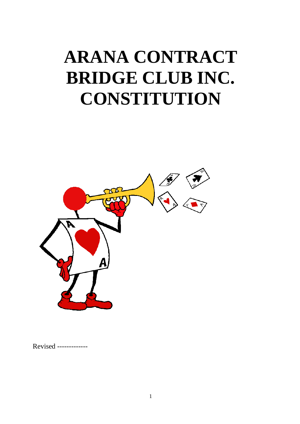# **ARANA CONTRACT BRIDGE CLUB INC. CONSTITUTION**



Revised -------------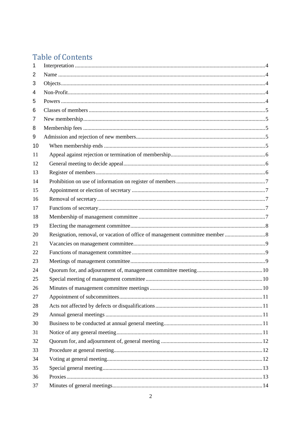# **Table of Contents**

| 1  |  |
|----|--|
| 2  |  |
| 3  |  |
| 4  |  |
| 5  |  |
| 6  |  |
| 7  |  |
| 8  |  |
| 9  |  |
| 10 |  |
| 11 |  |
| 12 |  |
| 13 |  |
| 14 |  |
| 15 |  |
| 16 |  |
| 17 |  |
| 18 |  |
| 19 |  |
| 20 |  |
| 21 |  |
| 22 |  |
| 23 |  |
| 24 |  |
| 25 |  |
| 26 |  |
| 27 |  |
| 28 |  |
| 29 |  |
| 30 |  |
| 31 |  |
| 32 |  |
| 33 |  |
| 34 |  |
| 35 |  |
| 36 |  |
| 37 |  |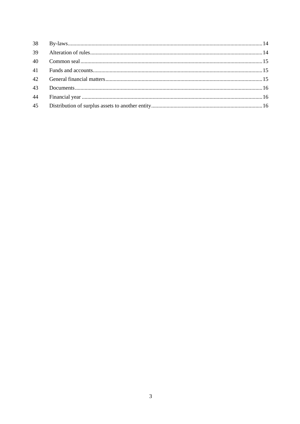| 39 |  |
|----|--|
| 40 |  |
|    |  |
| 42 |  |
| 43 |  |
| 44 |  |
| 45 |  |
|    |  |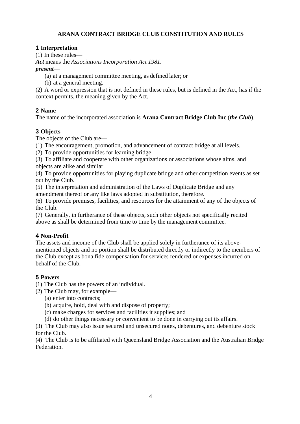# **ARANA CONTRACT BRIDGE CLUB CONSTITUTION AND RULES**

#### <span id="page-3-0"></span>**1 Interpretation**

(1) In these rules—

*Act* means the *Associations Incorporation Act 1981.*

*present*—

- (a) at a management committee meeting, as defined later; or
- (b) at a general meeting.

(2) A word or expression that is not defined in these rules, but is defined in the Act, has if the context permits, the meaning given by the Act.

# <span id="page-3-1"></span>**2 Name**

The name of the incorporated association is **Arana Contract Bridge Club Inc** (*the Club*).

# <span id="page-3-2"></span>**3 Objects**

The objects of the Club are—

(1) The encouragement, promotion, and advancement of contract bridge at all levels.

(2) To provide opportunities for learning bridge.

(3) To affiliate and cooperate with other organizations or associations whose aims, and objects are alike and similar.

(4) To provide opportunities for playing duplicate bridge and other competition events as set out by the Club.

(5) The interpretation and administration of the Laws of Duplicate Bridge and any amendment thereof or any like laws adopted in substitution, therefore.

(6) To provide premises, facilities, and resources for the attainment of any of the objects of the Club.

(7) Generally, in furtherance of these objects, such other objects not specifically recited above as shall be determined from time to time by the management committee.

# <span id="page-3-3"></span>**4 Non-Profit**

The assets and income of the Club shall be applied solely in furtherance of its abovementioned objects and no portion shall be distributed directly or indirectly to the members of the Club except as bona fide compensation for services rendered or expenses incurred on behalf of the Club.

# <span id="page-3-4"></span>**5 Powers**

(1) The Club has the powers of an individual.

- (2) The Club may, for example—
	- (a) enter into contracts;
	- (b) acquire, hold, deal with and dispose of property;
	- (c) make charges for services and facilities it supplies; and

(d) do other things necessary or convenient to be done in carrying out its affairs.

(3) The Club may also issue secured and unsecured notes, debentures, and debenture stock for the Club.

(4) The Club is to be affiliated with Queensland Bridge Association and the Australian Bridge Federation.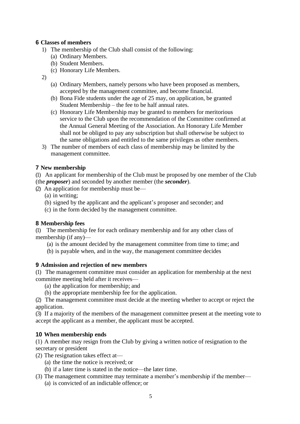#### <span id="page-4-0"></span>**6 Classes of members**

- 1) The membership of the Club shall consist of the following:
	- (a) Ordinary Members.
	- (b) Student Members.
	- (c) Honorary Life Members.

2)

- (a) Ordinary Members, namely persons who have been proposed as members, accepted by the management committee, and become financial.
- (b) Bona Fide students under the age of 25 may, on application, be granted Student Membership – the fee to be half annual rates.
- (c) Honorary Life Membership may be granted to members for meritorious service to the Club upon the recommendation of the Committee confirmed at the Annual General Meeting of the Association. An Honorary Life Member shall not be obliged to pay any subscription but shall otherwise be subject to the same obligations and entitled to the same privileges as other members.
- 3) The number of members of each class of membership may be limited by the management committee.

#### <span id="page-4-1"></span>**7 New membership**

(1) An applicant for membership of the Club must be proposed by one member of the Club (the *proposer*) and seconded by another member (the *seconder*).

(2) An application for membership must be—

- (a) in writing;
- (b) signed by the applicant and the applicant's proposer and seconder; and
- (c) in the form decided by the management committee.

#### <span id="page-4-2"></span>**8 Membership fees**

(1) The membership fee for each ordinary membership and for any other class of membership (if any)—

- (a) is the amount decided by the management committee from time to time; and
- (b) is payable when, and in the way, the management committee decides

#### <span id="page-4-3"></span>**9 Admission and rejection of new members**

(1) The management committee must consider an application for membership at the next committee meeting held after it receives—

- (a) the application for membership; and
- (b) the appropriate membership fee for the application.

(2) The management committee must decide at the meeting whether to accept or reject the application.

(3) If a majority of the members of the management committee present at the meeting vote to accept the applicant as a member, the applicant must be accepted.

#### <span id="page-4-4"></span>**10 When membership ends**

(1) A member may resign from the Club by giving a written notice of resignation to the secretary or president

- (2) The resignation takes effect at—
	- (a) the time the notice is received; or
	- (b) if a later time is stated in the notice—the later time.
- (3) The management committee may terminate a member's membership if the member— (a) is convicted of an indictable offence; or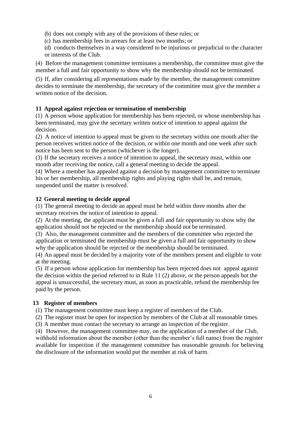- (b) does not comply with any of the provisions of these rules; or
- (c) has membership fees in arrears for at least two months; or
- (d) conducts themselves in a way considered to be injurious or prejudicial to the character or interests of the Club.

(4) Before the management committee terminates a membership, the committee must give the member a full and fair opportunity to show why the membership should not be terminated.

(5) If, after considering all representations made by the member, the management committee decides to terminate the membership, the secretary of the committee must give the member a written notice of the decision.

### <span id="page-5-0"></span>**11 Appeal against rejection or termination of membership**

(1) A person whose application for membership has been rejected, or whose membership has been terminated, may give the secretary written notice of intention to appeal against the decision.

(2) A notice of intention to appeal must be given to the secretary within one month after the person receives written notice of the decision, or within one month and one week after such notice has been sent to the person (whichever is the longer).

(3) If the secretary receives a notice of intention to appeal, the secretary must, within one month after receiving the notice, call a general meeting to decide the appeal.

(4) Where a member has appealed against a decision by management committee to terminate his or her membership, all membership rights and playing rights shall be, and remain, suspended until the matter is resolved.

#### <span id="page-5-1"></span>**12 General meeting to decide appeal**

(1) The general meeting to decide an appeal must be held within three months after the secretary receives the notice of intention to appeal.

(2) At the meeting, the applicant must be given a full and fair opportunity to show why the application should not be rejected or the membership should not be terminated.

(3) Also, the management committee and the members of the committee who rejected the application or terminated the membership must be given a full and fair opportunity to show why the application should be rejected or the membership should be terminated.

(4) An appeal must be decided by a majority vote of the members present and eligible to vote at the meeting.

(5) If a person whose application for membership has been rejected does not appeal against the decision within the period referred to in Rule 11 (2) above, or the person appeals but the appeal is unsuccessful, the secretary must, as soon as practicable, refund the membership fee paid by the person.

#### <span id="page-5-2"></span>**13 Register of members**

(1) The management committee must keep a register of members of the Club.

(2) The register must be open for inspection by members of the Club at all reasonable times.

(3) A member must contact the secretary to arrange an inspection of the register.

(4) However, the management committee may, on the application of a member of the Club, withhold information about the member (other than the member's full name) from the register available for inspection if the management committee has reasonable grounds for believing the disclosure of the information would put the member at risk of harm.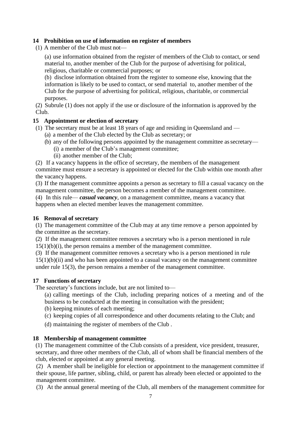#### <span id="page-6-0"></span>**14 Prohibition on use of information on register of members**

(1) A member of the Club must not—

(a) use information obtained from the register of members of the Club to contact, or send material to, another member of the Club for the purpose of advertising for political, religious, charitable or commercial purposes; or

(b) disclose information obtained from the register to someone else, knowing that the information is likely to be used to contact, or send material to, another member of the Club for the purpose of advertising for political, religious, charitable, or commercial purposes.

(2) Subrule (1) does not apply if the use or disclosure of the information is approved by the Club.

#### <span id="page-6-1"></span>**15 Appointment or election of secretary**

- (1) The secretary must be at least 18 years of age and residing in Queensland and
	- (a) a member of the Club elected by the Club as secretary; or
	- (b) any of the following persons appointed by the management committee assecretary— (i) a member of the Club's management committee;
		- (ii) another member of the Club;

(2) If a vacancy happens in the office of secretary, the members of the management committee must ensure a secretary is appointed or elected for the Club within one month after the vacancy happens.

(3) If the management committee appoints a person as secretary to fill a casual vacancy on the management committee, the person becomes a member of the management committee.

(4) In this rule— *casual vacancy*, on a management committee, means a vacancy that happens when an elected member leaves the management committee.

#### <span id="page-6-2"></span>**16 Removal of secretary**

(1) The management committee of the Club may at any time remove a person appointed by the committee as the secretary.

(2) If the management committee removes a secretary who is a person mentioned in rule  $15(1)(b)(i)$ , the person remains a member of the management committee.

(3) If the management committee removes a secretary who is a person mentioned in rule  $15(1)(b)(ii)$  and who has been appointed to a casual vacancy on the management committee under rule 15(3), the person remains a member of the management committee.

#### <span id="page-6-3"></span>**17 Functions of secretary**

The secretary's functions include, but are not limited to—

(a) calling meetings of the Club, including preparing notices of a meeting and of the business to be conducted at the meeting in consultation with the president;

- (b) keeping minutes of each meeting;
- (c) keeping copies of all correspondence and other documents relating to the Club; and
- (d) maintaining the register of members of the Club .

#### <span id="page-6-4"></span>**18 Membership of management committee**

(1) The management committee of the Club consists of a president, vice president, treasurer, secretary, and three other members of the Club, all of whom shall be financial members of the club, elected or appointed at any general meeting.

(2) A member shall be ineligible for election or appointment to the management committee if their spouse, life partner, sibling, child, or parent has already been elected or appointed to the management committee.

(3) At the annual general meeting of the Club, all members of the management committee for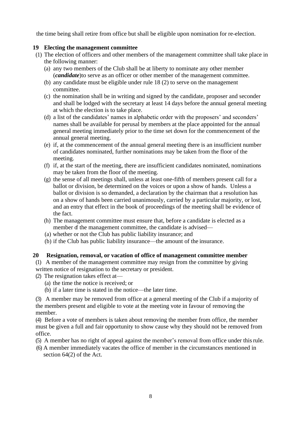the time being shall retire from office but shall be eligible upon nomination for re-election.

#### <span id="page-7-0"></span>**19 Electing the management committee**

- (1) The election of officers and other members of the management committee shall take place in the following manner:
	- (a) any two members of the Club shall be at liberty to nominate any other member (*candidate*)to serve as an officer or other member of the management committee.
	- (b) any candidate must be eligible under rule 18 (2) to serve on the management committee.
	- (c) the nomination shall be in writing and signed by the candidate, proposer and seconder and shall be lodged with the secretary at least 14 days before the annual general meeting at which the election is to take place.
	- (d) a list of the candidates' names in alphabetic order with the proposers' and seconders' names shall be available for perusal by members at the place appointed for the annual general meeting immediately prior to the time set down for the commencement of the annual general meeting.
	- (e) if, at the commencement of the annual general meeting there is an insufficient number of candidates nominated, further nominations may be taken from the floor of the meeting.
	- (f) if, at the start of the meeting, there are insufficient candidates nominated, nominations may be taken from the floor of the meeting.
	- (g) the sense of all meetings shall, unless at least one-fifth of members present call for a ballot or division, be determined on the voices or upon a show of hands. Unless a ballot or division is so demanded, a declaration by the chairman that a resolution has on a show of hands been carried unanimously, carried by a particular majority, or lost, and an entry that effect in the book of proceedings of the meeting shall be evidence of the fact.
	- (h) The management committee must ensure that, before a candidate is elected as a member of the management committee, the candidate is advised—
	- (a) whether or not the Club has public liability insurance; and
	- (b) if the Club has public liability insurance—the amount of the insurance.

#### <span id="page-7-1"></span>**20 Resignation, removal, or vacation of office of management committee member**

(1) A member of the management committee may resign from the committee by giving written notice of resignation to the secretary or president.

- (2) The resignation takes effect at—
	- (a) the time the notice is received; or
	- (b) if a later time is stated in the notice—the later time.

(3) A member may be removed from office at a general meeting of the Club if a majority of the members present and eligible to vote at the meeting vote in favour of removing the member.

(4) Before a vote of members is taken about removing the member from office, the member must be given a full and fair opportunity to show cause why they should not be removed from office.

- (5) A member has no right of appeal against the member's removal from office under thisrule.
- (6) A member immediately vacates the office of member in the circumstances mentioned in section 64(2) of the Act.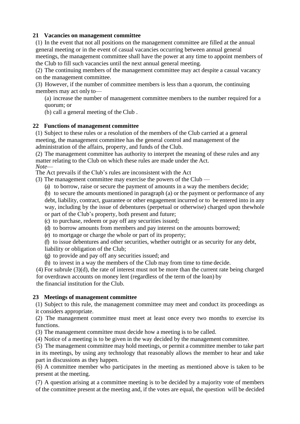## <span id="page-8-0"></span>**21 Vacancies on management committee**

(1) In the event that not all positions on the management committee are filled at the annual general meeting or in the event of casual vacancies occurring between annual general meetings, the management committee shall have the power at any time to appoint members of the Club to fill such vacancies until the next annual general meeting.

(2) The continuing members of the management committee may act despite a casual vacancy on the management committee.

(3) However, if the number of committee members is less than a quorum, the continuing members may act only to—

(a) increase the number of management committee members to the number required for a quorum; or

(b) call a general meeting of the Club .

#### <span id="page-8-1"></span>**22 Functions of management committee**

(1) Subject to these rules or a resolution of the members of the Club carried at a general meeting, the management committee has the general control and management of the administration of the affairs, property, and funds of the Club.

(2) The management committee has authority to interpret the meaning of these rules and any matter relating to the Club on which these rules are made under the Act. *Note*—

The Act prevails if the Club's rules are inconsistent with the Act

- (3) The management committee may exercise the powers of the Club
	- (a) to borrow, raise or secure the payment of amounts in a way the members decide;

(b) to secure the amounts mentioned in paragraph (a) or the payment or performance of any debt, liability, contract, guarantee or other engagement incurred or to be entered into in any way, including by the issue of debentures (perpetual or otherwise) charged upon thewhole or part of the Club's property, both present and future;

- (c) to purchase, redeem or pay off any securities issued;
- (d) to borrow amounts from members and pay interest on the amounts borrowed;
- (e) to mortgage or charge the whole or part of its property;

(f) to issue debentures and other securities, whether outright or as security for any debt, liability or obligation of the Club;

- (g) to provide and pay off any securities issued; and
- (h) to invest in a way the members of the Club may from time to time decide.

(4) For subrule (3)(d), the rate of interest must not be more than the current rate being charged for overdrawn accounts on money lent (regardless of the term of the loan) by the financial institution for the Club.

#### <span id="page-8-2"></span>**23 Meetings of management committee**

(1) Subject to this rule, the management committee may meet and conduct its proceedings as it considers appropriate.

(2) The management committee must meet at least once every two months to exercise its functions.

(3) The management committee must decide how a meeting is to be called.

(4) Notice of a meeting is to be given in the way decided by the management committee.

(5) The management committee may hold meetings, or permit a committee member to take part in its meetings, by using any technology that reasonably allows the member to hear and take part in discussions as they happen.

(6) A committee member who participates in the meeting as mentioned above is taken to be present at the meeting.

(7) A question arising at a committee meeting is to be decided by a majority vote of members of the committee present at the meeting and, if the votes are equal, the question will be decided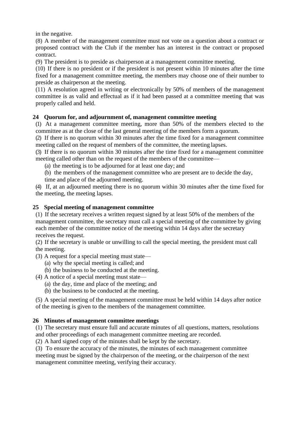in the negative.

(8) A member of the management committee must not vote on a question about a contract or proposed contract with the Club if the member has an interest in the contract or proposed contract.

(9) The president is to preside as chairperson at a management committee meeting.

(10) If there is no president or if the president is not present within 10 minutes after the time fixed for a management committee meeting, the members may choose one of their number to preside as chairperson at the meeting.

(11) A resolution agreed in writing or electronically by 50% of members of the management committee is as valid and effectual as if it had been passed at a committee meeting that was properly called and held.

#### <span id="page-9-0"></span>**24 Quorum for, and adjournment of, management committee meeting**

(1) At a management committee meeting, more than 50% of the members elected to the committee as at the close of the last general meeting of the members form a quorum.

(2) If there is no quorum within 30 minutes after the time fixed for a management committee meeting called on the request of members of the committee, the meeting lapses.

(3) If there is no quorum within 30 minutes after the time fixed for a management committee meeting called other than on the request of the members of the committee—

(a) the meeting is to be adjourned for at least one day; and

(b) the members of the management committee who are present are to decide the day, time and place of the adjourned meeting.

(4) If, at an adjourned meeting there is no quorum within 30 minutes after the time fixed for the meeting, the meeting lapses.

#### <span id="page-9-1"></span>**25 Special meeting of management committee**

(1) If the secretary receives a written request signed by at least 50% of the members of the management committee, the secretary must call a special meeting of the committee by giving each member of the committee notice of the meeting within 14 days after the secretary receives the request.

(2) If the secretary is unable or unwilling to call the special meeting, the president must call the meeting.

(3) A request for a special meeting must state—

(a) why the special meeting is called; and

(b) the business to be conducted at the meeting.

(4) A notice of a special meeting must state—

- (a) the day, time and place of the meeting; and
- (b) the business to be conducted at the meeting.

(5) A special meeting of the management committee must be held within 14 days after notice of the meeting is given to the members of the management committee.

#### <span id="page-9-2"></span>**26 Minutes of management committee meetings**

(1) The secretary must ensure full and accurate minutes of all questions, matters, resolutions and other proceedings of each management committee meeting are recorded.

(2) A hard signed copy of the minutes shall be kept by the secretary.

(3) To ensure the accuracy of the minutes, the minutes of each management committee meeting must be signed by the chairperson of the meeting, or the chairperson of the next management committee meeting, verifying their accuracy.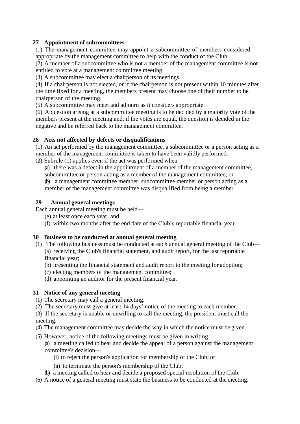#### <span id="page-10-0"></span>**27 Appointment of subcommittees**

(1) The management committee may appoint a subcommittee of members considered appropriate by the management committee to help with the conduct of the Club.

(2) A member of a subcommittee who is not a member of the management committee is not entitled to vote at a management committee meeting.

(3) A subcommittee may elect a chairperson of its meetings.

(4) If a chairperson is not elected, or if the chairperson is not present within 10 minutes after the time fixed for a meeting, the members present may choose one of their number to be chairperson of the meeting.

(5) A subcommittee may meet and adjourn as it considers appropriate.

(6) A question arising at a subcommittee meeting is to be decided by a majority vote of the members present at the meeting and, if the votes are equal, the question is decided in the negative and be referred back to the management committee.

# <span id="page-10-1"></span>**28 Acts not affected by defects or disqualifications**

(1) An act performed by the management committee, a subcommittee or a person acting as a member of the management committee is taken to have been validly performed. (2) Subrule (1) applies even if the act was performed when—

(a) there was a defect in the appointment of a member of the management committee, subcommittee or person acting as a member of the management committee; or

(b) a management committee member, subcommittee member or person acting as a member of the management committee was disqualified from being a member.

# <span id="page-10-2"></span>**29 Annual general meetings**

Each annual general meeting must be held—

- (e) at least once each year; and
- (f) within two months after the end date of the Club's reportable financial year.

#### <span id="page-10-3"></span>**30 Business to be conducted at annual general meeting**

- (1) The following business must be conducted at each annual general meeting of the Club— (a) receiving the Club's financial statement, and audit report, for the last reportable financial year;
	- (b) presenting the financial statement and audit report to the meeting for adoption;
	- (c) electing members of the management committee;
	- (d) appointing an auditor for the present financial year.

# <span id="page-10-4"></span>**31 Notice of any general meeting**

- (1) The secretary may call a general meeting.
- (2) The secretary must give at least 14 days' notice of the meeting to each member.

(3) If the secretary is unable or unwilling to call the meeting, the president must call the meeting.

- (4) The management committee may decide the way in which the notice must be given.
- (5) However, notice of the following meetings must be given in writing—

(a) a meeting called to hear and decide the appeal of a person against the management committee's decision—

- (i) to reject the person's application for membership of the Club; or
- (ii) to terminate the person's membership of the Club;
- (b) a meeting called to hear and decide a proposed special resolution of the Club.
- (6) A notice of a general meeting must state the business to be conducted at the meeting.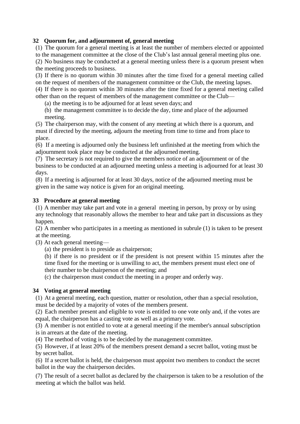#### <span id="page-11-0"></span>**32 Quorum for, and adjournment of, general meeting**

(1) The quorum for a general meeting is at least the number of members elected or appointed to the management committee at the close of the Club's last annual general meeting plus one.

(2) No business may be conducted at a general meeting unless there is a quorum present when the meeting proceeds to business.

(3) If there is no quorum within 30 minutes after the time fixed for a general meeting called on the request of members of the management committee or the Club, the meeting lapses.

(4) If there is no quorum within 30 minutes after the time fixed for a general meeting called other than on the request of members of the management committee or the Club—

(a) the meeting is to be adjourned for at least seven days; and

(b) the management committee is to decide the day, time and place of the adjourned meeting.

(5) The chairperson may, with the consent of any meeting at which there is a quorum, and must if directed by the meeting, adjourn the meeting from time to time and from place to place.

(6) If a meeting is adjourned only the business left unfinished at the meeting from which the adjournment took place may be conducted at the adjourned meeting.

(7) The secretary is not required to give the members notice of an adjournment or of the business to be conducted at an adjourned meeting unless a meeting is adjourned for at least 30 days.

(8) If a meeting is adjourned for at least 30 days, notice of the adjourned meeting must be given in the same way notice is given for an original meeting.

#### <span id="page-11-1"></span>**33 Procedure at general meeting**

(1) A member may take part and vote in a general meeting in person, by proxy or by using any technology that reasonably allows the member to hear and take part in discussions as they happen.

(2) A member who participates in a meeting as mentioned in subrule (1) is taken to be present at the meeting.

(3) At each general meeting—

(a) the president is to preside as chairperson;

(b) if there is no president or if the president is not present within 15 minutes after the time fixed for the meeting or is unwilling to act, the members present must elect one of their number to be chairperson of the meeting; and

(c) the chairperson must conduct the meeting in a proper and orderly way.

#### <span id="page-11-2"></span>**34 Voting at general meeting**

(1) At a general meeting, each question, matter or resolution, other than a special resolution, must be decided by a majority of votes of the members present.

(2) Each member present and eligible to vote is entitled to one vote only and, if the votes are equal, the chairperson has a casting vote as well as a primary vote.

(3) A member is not entitled to vote at a general meeting if the member's annual subscription is in arrears at the date of the meeting.

(4) The method of voting is to be decided by the management committee.

(5) However, if at least 20% of the members present demand a secret ballot, voting must be by secret ballot.

(6) If a secret ballot is held, the chairperson must appoint two members to conduct the secret ballot in the way the chairperson decides.

(7) The result of a secret ballot as declared by the chairperson is taken to be a resolution of the meeting at which the ballot was held.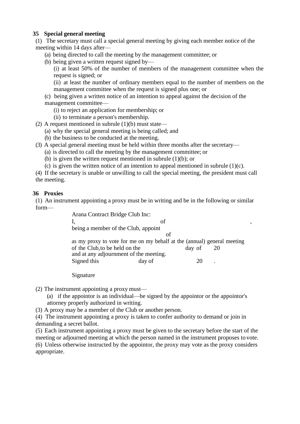# <span id="page-12-0"></span>**35 Special general meeting**

(1) The secretary must call a special general meeting by giving each member notice of the meeting within 14 days after—

- (a) being directed to call the meeting by the management committee; or
- (b) being given a written request signed by—

(i) at least 50% of the number of members of the management committee when the request is signed; or

(ii) at least the number of ordinary members equal to the number of members on the management committee when the request is signed plus one; or

- (c) being given a written notice of an intention to appeal against the decision of the management committee—
	- (i) to reject an application for membership; or
	- (ii) to terminate a person's membership.
- (2) A request mentioned in subrule  $(1)(b)$  must state—
	- (a) why the special general meeting is being called; and
	- (b) the business to be conducted at the meeting.
- (3) A special general meeting must be held within three months after the secretary—
	- (a) is directed to call the meeting by the management committee; or
	- (b) is given the written request mentioned in subrule  $(1)(b)$ ; or
	- (c) is given the written notice of an intention to appeal mentioned in subrule  $(1)(c)$ .

(4) If the secretary is unable or unwilling to call the special meeting, the president must call the meeting.

#### <span id="page-12-1"></span>**36 Proxies**

(1) An instrument appointing a proxy must be in writing and be in the following or similar form—

| Arana Contract Bridge Club Inc:                                         |        |        |    |  |  |  |  |
|-------------------------------------------------------------------------|--------|--------|----|--|--|--|--|
|                                                                         | of     |        |    |  |  |  |  |
| being a member of the Club, appoint                                     |        |        |    |  |  |  |  |
| οf                                                                      |        |        |    |  |  |  |  |
| as my proxy to vote for me on my behalf at the (annual) general meeting |        |        |    |  |  |  |  |
| of the Club, to be held on the                                          |        | day of | 20 |  |  |  |  |
| and at any adjournment of the meeting.                                  |        |        |    |  |  |  |  |
| Signed this                                                             | day of |        |    |  |  |  |  |
|                                                                         |        |        |    |  |  |  |  |

Signature

- (2) The instrument appointing a proxy must—
	- (a) if the appointor is an individual—be signed by the appointor or the appointor's attorney properly authorized in writing.
- (3) A proxy may be a member of the Club or another person.

(4) The instrument appointing a proxy is taken to confer authority to demand or join in demanding a secret ballot.

(5) Each instrument appointing a proxy must be given to the secretary before the start of the meeting or adjourned meeting at which the person named in the instrument proposes to vote. (6) Unless otherwise instructed by the appointor, the proxy may vote as the proxy considers appropriate.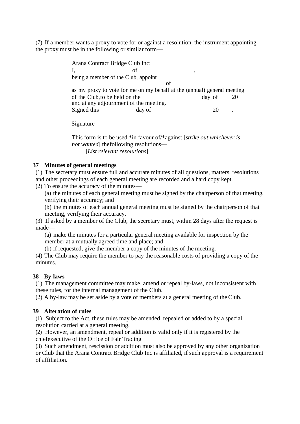(7) If a member wants a proxy to vote for or against a resolution, the instrument appointing the proxy must be in the following or similar form—

> Arana Contract Bridge Club Inc: I, of , being a member of the Club, appoint of as my proxy to vote for me on my behalf at the (annual) general meeting of the Club, to be held on the day of 20 and at any adjournment of the meeting. Signed this day of 20 .

Signature

This form is to be used \*in favour of/\*against [*strike out whichever is not wanted*] thefollowing resolutions— [*List relevant resolutions*]

#### <span id="page-13-0"></span>**37 Minutes of general meetings**

(1) The secretary must ensure full and accurate minutes of all questions, matters, resolutions and other proceedings of each general meeting are recorded and a hard copy kept.

(2) To ensure the accuracy of the minutes—

(a) the minutes of each general meeting must be signed by the chairperson of that meeting, verifying their accuracy; and

(b) the minutes of each annual general meeting must be signed by the chairperson of that meeting, verifying their accuracy.

(3) If asked by a member of the Club, the secretary must, within 28 days after the request is made—

(a) make the minutes for a particular general meeting available for inspection by the member at a mutually agreed time and place; and

(b) if requested, give the member a copy of the minutes of the meeting.

(4) The Club may require the member to pay the reasonable costs of providing a copy of the minutes.

#### <span id="page-13-1"></span>**38 By-laws**

(1) The management committee may make, amend or repeal by-laws, not inconsistent with these rules, for the internal management of the Club.

(2) A by-law may be set aside by a vote of members at a general meeting of the Club.

#### <span id="page-13-2"></span>**39 Alteration of rules**

(1) Subject to the Act, these rules may be amended, repealed or added to by a special resolution carried at a general meeting.

(2) However, an amendment, repeal or addition is valid only if it is registered by the chiefexecutive of the Office of Fair Trading

(3) Such amendment, rescission or addition must also be approved by any other organization or Club that the Arana Contract Bridge Club Inc is affiliated, if such approval is a requirement of affiliation.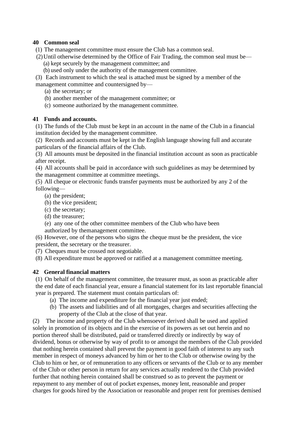# <span id="page-14-0"></span>**40 Common seal**

- (1) The management committee must ensure the Club has a common seal.
- (2)Until otherwise determined by the Office of Fair Trading, the common seal must be—
	- (a) kept securely by the management committee; and
	- (b) used only under the authority of the management committee.

(3) Each instrument to which the seal is attached must be signed by a member of the management committee and countersigned by—

- (a) the secretary; or
- (b) another member of the management committee; or
- (c) someone authorized by the management committee.

# <span id="page-14-1"></span>**41 Funds and accounts.**

(1) The funds of the Club must be kept in an account in the name of the Club in a financial institution decided by the management committee.

(2) Records and accounts must be kept in the English language showing full and accurate particulars of the financial affairs of the Club.

(3) All amounts must be deposited in the financial institution account as soon as practicable after receipt.

(4) All accounts shall be paid in accordance with such guidelines as may be determined by the management committee at committee meetings.

(5) All cheque or electronic funds transfer payments must be authorized by any 2 of the following—

- (a) the president;
- (b) the vice president;
- (c) the secretary;
- (d) the treasurer;

(e) any one of the other committee members of the Club who have been authorized by themanagement committee.

(6) However, one of the persons who signs the cheque must be the president, the vice president, the secretary or the treasurer.

(7) Cheques must be crossed not negotiable.

(8) All expenditure must be approved or ratified at a management committee meeting.

# <span id="page-14-2"></span>**42 General financial matters**

(1) On behalf of the management committee, the treasurer must, as soon as practicable after the end date of each financial year, ensure a financial statement for its last reportable financial year is prepared. The statement must contain particulars of:

- (a) The income and expenditure for the financial year just ended;
- (b) The assets and liabilities and of all mortgages, charges and securities affecting the property of the Club at the close of that year.

(2) The income and property of the Club whensoever derived shall be used and applied solely in promotion of its objects and in the exercise of its powers as set out herein and no portion thereof shall be distributed, paid or transferred directly or indirectly by way of dividend, bonus or otherwise by way of profit to or amongst the members of the Club provided that nothing herein contained shall prevent the payment in good faith of interest to any such member in respect of moneys advanced by him or her to the Club or otherwise owing by the Club to him or her, or of remuneration to any officers or servants of the Club or to any member of the Club or other person in return for any services actually rendered to the Club provided further that nothing herein contained shall be construed so as to prevent the payment or repayment to any member of out of pocket expenses, money lent, reasonable and proper charges for goods hired by the Association or reasonable and proper rent for premises demised